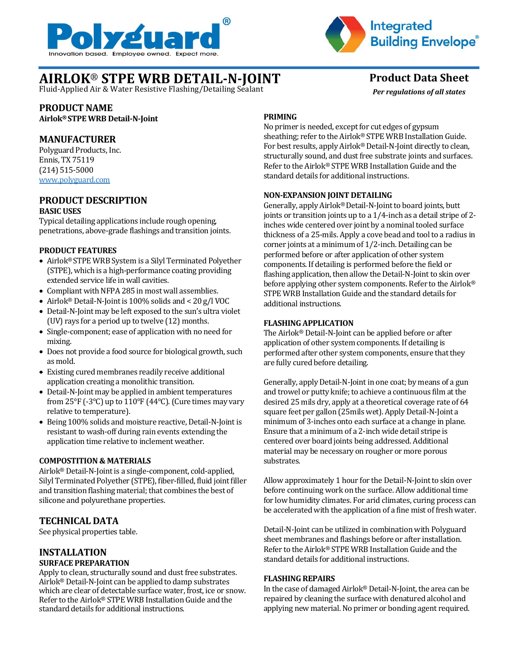



*Per regulations of all states*

# **AIRLOK**® **STPE WRB DETAIL-N-JOINT Product Data Sheet**

Fluid-Applied Air & Water Resistive Flashing/Detailing Sealant

# **PRODUCT NAME**

**Airlok® STPE WRB Detail-N-Joint**

# **MANUFACTURER**

Polyguard Products, Inc. Ennis, TX 75119 (214) 515-5000 [www.polyguard.com](http://www.polyguard.com/)

#### **PRODUCT DESCRIPTION BASIC USES**

Typical detailing applications include rough opening,

penetrations, above-grade flashings and transition joints.

#### **PRODUCT FEATURES**

- Airlok® STPE WRB System is a Silyl Terminated Polyether (STPE), which is a high-performance coating providing extended service life in wall cavities.
- Compliant with NFPA 285 in most wall assemblies.
- Airlok® Detail-N-Joint is 100% solids and < 20 g/l VOC
- Detail-N-Joint may be left exposed to the sun's ultra violet (UV) rays for a period up to twelve (12) months.
- Single-component; ease of application with no need for mixing.
- Does not provide a food source for biological growth, such as mold.
- Existing cured membranes readily receive additional application creating a monolithic transition.
- Detail-N-Joint may be applied in ambient temperatures from  $25^{\circ}F$  (-3°C) up to  $110^{\circ}F$  (44°C). (Cure times may vary relative to temperature).
- Being 100% solids and moisture reactive, Detail-N-Joint is resistant to wash-off during rain events extending the application time relative to inclement weather.

## **COMPOSTITION & MATERIALS**

Airlok<sup>®</sup> Detail-N-Joint is a single-component, cold-applied, Silyl Terminated Polyether (STPE), fiber-filled, fluid joint filler and transition flashing material; that combines the best of silicone and polyurethane properties.

# **TECHNICAL DATA**

See physical properties table.

## **INSTALLATION SURFACE PREPARATION**

Apply to clean, structurally sound and dust free substrates. Airlok® Detail-N-Joint can be applied to damp substrates which are clear of detectable surface water, frost, ice or snow. Refer to the Airlok® STPE WRB Installation Guide and the standard details for additional instructions.

# **PRIMING**

No primer is needed, except for cut edges of gypsum sheathing; refer to the Airlok® STPE WRB Installation Guide. For best results, apply Airlok® Detail-N-Joint directly to clean, structurally sound, and dust free substrate joints and surfaces. Refer to the Airlok® STPE WRB Installation Guide and the standard details for additional instructions.

#### **NON-EXPANSION JOINT DETAILING**

Generally, apply Airlok® Detail-N-Joint to board joints, butt joints or transition joints up to a 1/4-inch as a detail stripe of 2 inches wide centered over joint by a nominal tooled surface thickness of a 25-mils. Apply a cove bead and tool to a radius in corner joints at a minimum of 1/2-inch. Detailing can be performed before or after application of other system components. If detailing is performed before the field or flashing application, then allow the Detail-N-Joint to skin over before applying other system components. Refer to the Airlok® STPE WRB Installation Guide and the standard details for additional instructions.

# **FLASHING APPLICATION**

The Airlok® Detail-N-Joint can be applied before or after application of other system components. If detailing is performed after other system components, ensure that they are fully cured before detailing.

Generally, apply Detail-N-Joint in one coat; by means of a gun and trowel or putty knife; to achieve a continuous film at the desired 25 mils dry, apply at a theoretical coverage rate of 64 square feet per gallon (25mils wet). Apply Detail-N-Joint a minimum of 3-inches onto each surface at a change in plane. Ensure that a minimum of a 2-inch wide detail stripe is centered over board joints being addressed. Additional material may be necessary on rougher or more porous substrates.

Allow approximately 1 hour for the Detail-N-Joint to skin over before continuing work on the surface. Allow additional time for low humidity climates. For arid climates, curing process can be accelerated with the application of a fine mist of fresh water.

Detail-N-Joint can be utilized in combination with Polyguard sheet membranes and flashings before or after installation. Refer to the Airlok® STPE WRB Installation Guide and the standard details for additional instructions.

#### **FLASHING REPAIRS**

In the case of damaged Airlok® Detail-N-Joint, the area can be repaired by cleaning the surface with denatured alcohol and applying new material. No primer or bonding agent required.